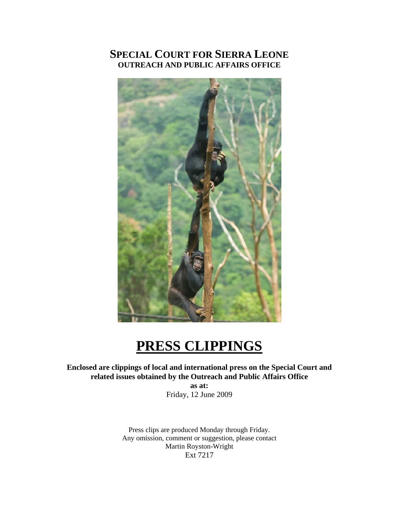# **SPECIAL COURT FOR SIERRA LEONE OUTREACH AND PUBLIC AFFAIRS OFFICE**



# **PRESS CLIPPINGS**

**Enclosed are clippings of local and international press on the Special Court and related issues obtained by the Outreach and Public Affairs Office** 

**as at:**  Friday, 12 June 2009

Press clips are produced Monday through Friday. Any omission, comment or suggestion, please contact Martin Royston-Wright Ext 7217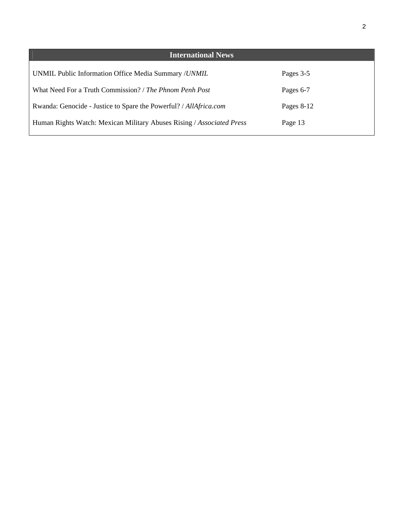| <b>International News</b>                                             |              |
|-----------------------------------------------------------------------|--------------|
| UNMIL Public Information Office Media Summary / <i>UNMIL</i>          | Pages 3-5    |
| What Need For a Truth Commission? / The Phnom Penh Post               | Pages 6-7    |
| Rwanda: Genocide - Justice to Spare the Powerful? / AllAfrica.com     | Pages $8-12$ |
| Human Rights Watch: Mexican Military Abuses Rising / Associated Press | Page 13      |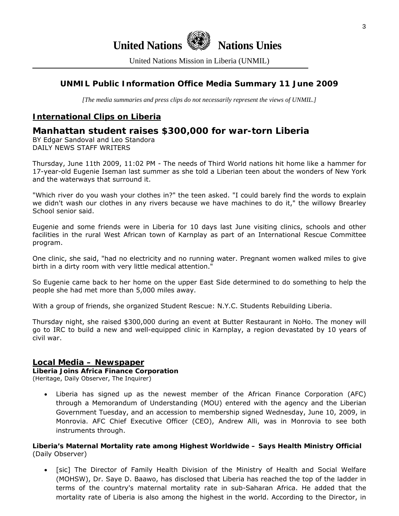

United Nations Mission in Liberia (UNMIL)

# **UNMIL Public Information Office Media Summary 11 June 2009**

*[The media summaries and press clips do not necessarily represent the views of UNMIL.]* 

# **International Clips on Liberia**

# **Manhattan student raises \$300,000 for war-torn Liberia**

BY Edgar Sandoval and Leo Standora DAILY NEWS STAFF WRITERS

Thursday, June 11th 2009, 11:02 PM - The needs of Third World nations hit home like a hammer for 17-year-old Eugenie Iseman last summer as she told a Liberian teen about the wonders of New York and the waterways that surround it.

"Which river do you wash your clothes in?" the teen asked. "I could barely find the words to explain we didn't wash our clothes in any rivers because we have machines to do it," the willowy Brearley School senior said.

Eugenie and some friends were in Liberia for 10 days last June visiting clinics, schools and other facilities in the rural West African town of Karnplay as part of an International Rescue Committee program.

One clinic, she said, "had no electricity and no running water. Pregnant women walked miles to give birth in a dirty room with very little medical attention."

So Eugenie came back to her home on the upper East Side determined to do something to help the people she had met more than 5,000 miles away.

With a group of friends, she organized Student Rescue: N.Y.C. Students Rebuilding Liberia.

Thursday night, she raised \$300,000 during an event at Butter Restaurant in NoHo. The money will go to IRC to build a new and well-equipped clinic in Karnplay, a region devastated by 10 years of civil war.

# **Local Media – Newspaper**

#### **Liberia Joins Africa Finance Corporation**

(Heritage, Daily Observer, The Inquirer)

• Liberia has signed up as the newest member of the African Finance Corporation (AFC) through a Memorandum of Understanding (MOU) entered with the agency and the Liberian Government Tuesday, and an accession to membership signed Wednesday, June 10, 2009, in Monrovia. AFC Chief Executive Officer (CEO), Andrew Alli, was in Monrovia to see both instruments through.

#### **Liberia's Maternal Mortality rate among Highest Worldwide – Says Health Ministry Official**  (Daily Observer)

• [sic] The Director of Family Health Division of the Ministry of Health and Social Welfare (MOHSW), Dr. Saye D. Baawo, has disclosed that Liberia has reached the top of the ladder in terms of the country's maternal mortality rate in sub-Saharan Africa. He added that the mortality rate of Liberia is also among the highest in the world. According to the Director, in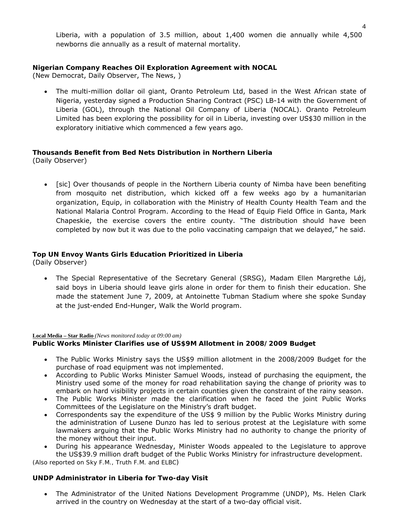Liberia, with a population of 3.5 million, about 1,400 women die annually while 4,500 newborns die annually as a result of maternal mortality.

# **Nigerian Company Reaches Oil Exploration Agreement with NOCAL**

(New Democrat, Daily Observer, The News, )

• The multi-million dollar oil giant, Oranto Petroleum Ltd, based in the West African state of Nigeria, yesterday signed a Production Sharing Contract (PSC) LB-14 with the Government of Liberia (GOL), through the National Oil Company of Liberia (NOCAL). Oranto Petroleum Limited has been exploring the possibility for oil in Liberia, investing over US\$30 million in the exploratory initiative which commenced a few years ago.

# **Thousands Benefit from Bed Nets Distribution in Northern Liberia**

(Daily Observer)

• [sic] Over thousands of people in the Northern Liberia county of Nimba have been benefiting from mosquito net distribution, which kicked off a few weeks ago by a humanitarian organization, Equip, in collaboration with the Ministry of Health County Health Team and the National Malaria Control Program. According to the Head of Equip Field Office in Ganta, Mark Chapeskie, the exercise covers the entire county. "The distribution should have been completed by now but it was due to the polio vaccinating campaign that we delayed," he said.

# **Top UN Envoy Wants Girls Education Prioritized in Liberia**

(Daily Observer)

• The Special Representative of the Secretary General (SRSG), Madam Ellen Margrethe Lǿj, said boys in Liberia should leave girls alone in order for them to finish their education. She made the statement June 7, 2009, at Antoinette Tubman Stadium where she spoke Sunday at the just-ended End-Hunger, Walk the World program.

#### **Local Media – Star Radio** *(News monitored today at 09:00 am)*

# **Public Works Minister Clarifies use of US\$9M Allotment in 2008/2009 Budget**

- The Public Works Ministry says the US\$9 million allotment in the 2008/2009 Budget for the purchase of road equipment was not implemented.
- According to Public Works Minister Samuel Woods, instead of purchasing the equipment, the Ministry used some of the money for road rehabilitation saying the change of priority was to embark on hard visibility projects in certain counties given the constraint of the rainy season.
- The Public Works Minister made the clarification when he faced the joint Public Works Committees of the Legislature on the Ministry's draft budget.
- Correspondents say the expenditure of the US\$ 9 million by the Public Works Ministry during the administration of Lusene Dunzo has led to serious protest at the Legislature with some lawmakers arguing that the Public Works Ministry had no authority to change the priority of the money without their input.
- During his appearance Wednesday, Minister Woods appealed to the Legislature to approve the US\$39.9 million draft budget of the Public Works Ministry for infrastructure development.

*(Also reported on Sky F.M., Truth F.M. and ELBC)*

# **UNDP Administrator in Liberia for Two-day Visit**

• The Administrator of the United Nations Development Programme (UNDP), Ms. Helen Clark arrived in the country on Wednesday at the start of a two-day official visit.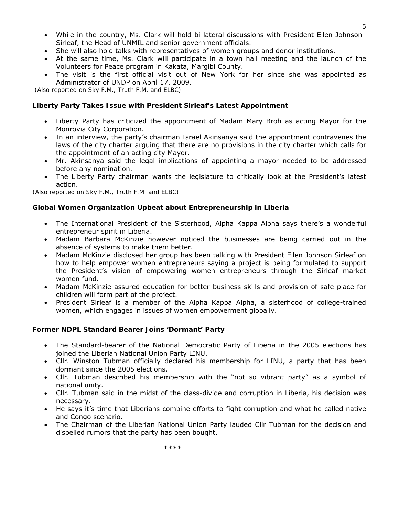- While in the country, Ms. Clark will hold bi-lateral discussions with President Ellen Johnson Sirleaf, the Head of UNMIL and senior government officials.
- She will also hold talks with representatives of women groups and donor institutions.
- At the same time, Ms. Clark will participate in a town hall meeting and the launch of the Volunteers for Peace program in Kakata, Margibi County.
- The visit is the first official visit out of New York for her since she was appointed as Administrator of UNDP on April 17, 2009.

 *(Also reported on Sky F.M., Truth F.M. and ELBC)*

#### **Liberty Party Takes Issue with President Sirleaf's Latest Appointment**

- Liberty Party has criticized the appointment of Madam Mary Broh as acting Mayor for the Monrovia City Corporation.
- In an interview, the party's chairman Israel Akinsanya said the appointment contravenes the laws of the city charter arguing that there are no provisions in the city charter which calls for the appointment of an acting city Mayor.
- Mr. Akinsanya said the legal implications of appointing a mayor needed to be addressed before any nomination.
- The Liberty Party chairman wants the legislature to critically look at the President's latest action.

*(Also reported on Sky F.M., Truth F.M. and ELBC)*

#### **Global Women Organization Upbeat about Entrepreneurship in Liberia**

- The International President of the Sisterhood, Alpha Kappa Alpha says there's a wonderful entrepreneur spirit in Liberia.
- Madam Barbara McKinzie however noticed the businesses are being carried out in the absence of systems to make them better.
- Madam McKinzie disclosed her group has been talking with President Ellen Johnson Sirleaf on how to help empower women entrepreneurs saying a project is being formulated to support the President's vision of empowering women entrepreneurs through the Sirleaf market women fund.
- Madam McKinzie assured education for better business skills and provision of safe place for children will form part of the project.
- President Sirleaf is a member of the Alpha Kappa Alpha, a sisterhood of college-trained women, which engages in issues of women empowerment globally.

#### **Former NDPL Standard Bearer Joins 'Dormant' Party**

- The Standard-bearer of the National Democratic Party of Liberia in the 2005 elections has joined the Liberian National Union Party LINU.
- Cllr. Winston Tubman officially declared his membership for LINU, a party that has been dormant since the 2005 elections.
- Cllr. Tubman described his membership with the "not so vibrant party" as a symbol of national unity.
- Cllr. Tubman said in the midst of the class-divide and corruption in Liberia, his decision was necessary.
- He says it's time that Liberians combine efforts to fight corruption and what he called native and Congo scenario.
- The Chairman of the Liberian National Union Party lauded Cllr Tubman for the decision and dispelled rumors that the party has been bought.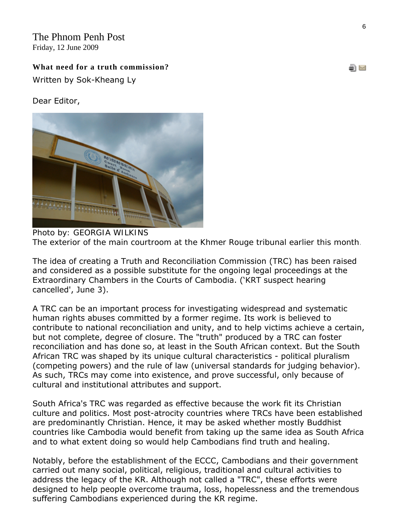The Phnom Penh Post Friday, 12 June 2009

# **What need for a truth commission?**

Written by Sok-Kheang Ly

# Dear Editor,



*Photo by: GEORGIA WILKINS The exterior of the main courtroom at the Khmer Rouge tribunal earlier this month.* 

The idea of creating a Truth and Reconciliation Commission (TRC) has been raised and considered as a possible substitute for the ongoing legal proceedings at the Extraordinary Chambers in the Courts of Cambodia. ('KRT suspect hearing cancelled', June 3).

A TRC can be an important process for investigating widespread and systematic human rights abuses committed by a former regime. Its work is believed to contribute to national reconciliation and unity, and to help victims achieve a certain, but not complete, degree of closure. The "truth" produced by a TRC can foster reconciliation and has done so, at least in the South African context. But the South African TRC was shaped by its unique cultural characteristics - political pluralism (competing powers) and the rule of law (universal standards for judging behavior). As such, TRCs may come into existence, and prove successful, only because of cultural and institutional attributes and support.

South Africa's TRC was regarded as effective because the work fit its Christian culture and politics. Most post-atrocity countries where TRCs have been established are predominantly Christian. Hence, it may be asked whether mostly Buddhist countries like Cambodia would benefit from taking up the same idea as South Africa and to what extent doing so would help Cambodians find truth and healing.

Notably, before the establishment of the ECCC, Cambodians and their government carried out many social, political, religious, traditional and cultural activities to address the legacy of the KR. Although not called a "TRC", these efforts were designed to help people overcome trauma, loss, hopelessness and the tremendous suffering Cambodians experienced during the KR regime.

S M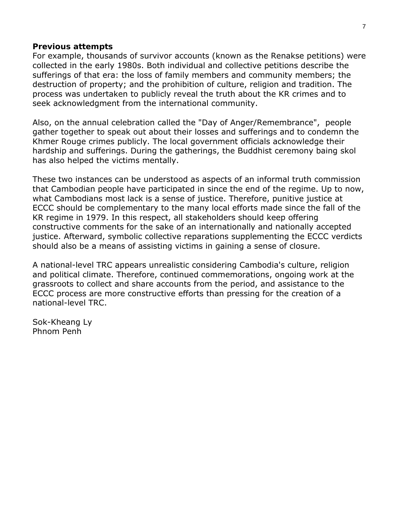# **Previous attempts**

For example, thousands of survivor accounts (known as the Renakse petitions) were collected in the early 1980s. Both individual and collective petitions describe the sufferings of that era: the loss of family members and community members; the destruction of property; and the prohibition of culture, religion and tradition. The process was undertaken to publicly reveal the truth about the KR crimes and to seek acknowledgment from the international community.

Also, on the annual celebration called the "Day of Anger/Remembrance", people gather together to speak out about their losses and sufferings and to condemn the Khmer Rouge crimes publicly. The local government officials acknowledge their hardship and sufferings. During the gatherings, the Buddhist ceremony baing skol has also helped the victims mentally.

These two instances can be understood as aspects of an informal truth commission that Cambodian people have participated in since the end of the regime. Up to now, what Cambodians most lack is a sense of justice. Therefore, punitive justice at ECCC should be complementary to the many local efforts made since the fall of the KR regime in 1979. In this respect, all stakeholders should keep offering constructive comments for the sake of an internationally and nationally accepted justice. Afterward, symbolic collective reparations supplementing the ECCC verdicts should also be a means of assisting victims in gaining a sense of closure.

A national-level TRC appears unrealistic considering Cambodia's culture, religion and political climate. Therefore, continued commemorations, ongoing work at the grassroots to collect and share accounts from the period, and assistance to the ECCC process are more constructive efforts than pressing for the creation of a national-level TRC.

Sok-Kheang Ly Phnom Penh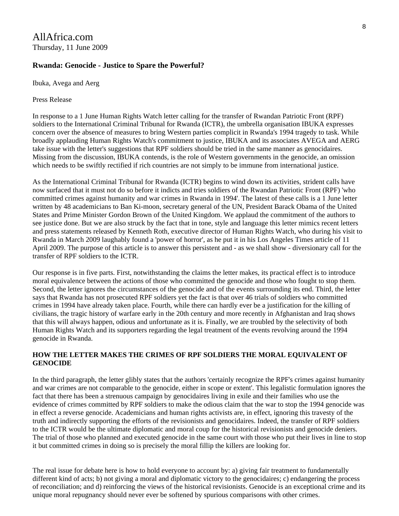# **Rwanda: Genocide - Justice to Spare the Powerful?**

Ibuka, Avega and Aerg

Press Release

In response to a 1 June Human Rights Watch letter calling for the transfer of Rwandan Patriotic Front (RPF) soldiers to the International Criminal Tribunal for Rwanda (ICTR), the umbrella organisation IBUKA expresses concern over the absence of measures to bring Western parties complicit in Rwanda's 1994 tragedy to task. While broadly applauding Human Rights Watch's commitment to justice, IBUKA and its associates AVEGA and AERG take issue with the letter's suggestions that RPF soldiers should be tried in the same manner as genocidaires. Missing from the discussion, IBUKA contends, is the role of Western governments in the genocide, an omission which needs to be swiftly rectified if rich countries are not simply to be immune from international justice.

As the International Criminal Tribunal for Rwanda (ICTR) begins to wind down its activities, strident calls have now surfaced that it must not do so before it indicts and tries soldiers of the Rwandan Patriotic Front (RPF) 'who committed crimes against humanity and war crimes in Rwanda in 1994'. The latest of these calls is a 1 June letter written by 48 academicians to Ban Ki-moon, secretary general of the UN, President Barack Obama of the United States and Prime Minister Gordon Brown of the United Kingdom. We applaud the commitment of the authors to see justice done. But we are also struck by the fact that in tone, style and language this letter mimics recent letters and press statements released by Kenneth Roth, executive director of Human Rights Watch, who during his visit to Rwanda in March 2009 laughably found a 'power of horror', as he put it in his Los Angeles Times article of 11 April 2009. The purpose of this article is to answer this persistent and - as we shall show - diversionary call for the transfer of RPF soldiers to the ICTR.

Our response is in five parts. First, notwithstanding the claims the letter makes, its practical effect is to introduce moral equivalence between the actions of those who committed the genocide and those who fought to stop them. Second, the letter ignores the circumstances of the genocide and of the events surrounding its end. Third, the letter says that Rwanda has not prosecuted RPF soldiers yet the fact is that over 46 trials of soldiers who committed crimes in 1994 have already taken place. Fourth, while there can hardly ever be a justification for the killing of civilians, the tragic history of warfare early in the 20th century and more recently in Afghanistan and Iraq shows that this will always happen, odious and unfortunate as it is. Finally, we are troubled by the selectivity of both Human Rights Watch and its supporters regarding the legal treatment of the events revolving around the 1994 genocide in Rwanda.

# **HOW THE LETTER MAKES THE CRIMES OF RPF SOLDIERS THE MORAL EQUIVALENT OF GENOCIDE**

In the third paragraph, the letter glibly states that the authors 'certainly recognize the RPF's crimes against humanity and war crimes are not comparable to the genocide, either in scope or extent'. This legalistic formulation ignores the fact that there has been a strenuous campaign by genocidaires living in exile and their families who use the evidence of crimes committed by RPF soldiers to make the odious claim that the war to stop the 1994 genocide was in effect a reverse genocide. Academicians and human rights activists are, in effect, ignoring this travesty of the truth and indirectly supporting the efforts of the revisionists and genocidaires. Indeed, the transfer of RPF soldiers to the ICTR would be the ultimate diplomatic and moral coup for the historical revisionists and genocide deniers. The trial of those who planned and executed genocide in the same court with those who put their lives in line to stop it but committed crimes in doing so is precisely the moral fillip the killers are looking for.

The real issue for debate here is how to hold everyone to account by: a) giving fair treatment to fundamentally different kind of acts; b) not giving a moral and diplomatic victory to the genocidaires; c) endangering the process of reconciliation; and d) reinforcing the views of the historical revisionists. Genocide is an exceptional crime and its unique moral repugnancy should never ever be softened by spurious comparisons with other crimes.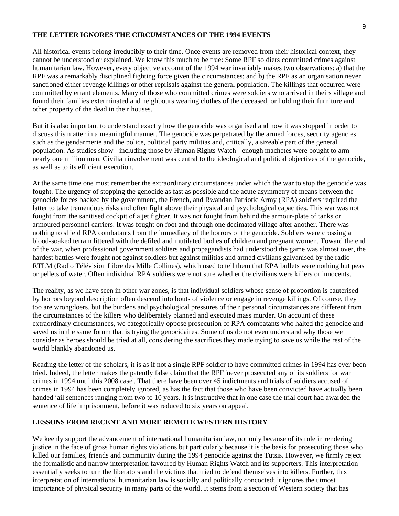#### **THE LETTER IGNORES THE CIRCUMSTANCES OF THE 1994 EVENTS**

All historical events belong irreducibly to their time. Once events are removed from their historical context, they cannot be understood or explained. We know this much to be true: Some RPF soldiers committed crimes against humanitarian law. However, every objective account of the 1994 war invariably makes two observations: a) that the RPF was a remarkably disciplined fighting force given the circumstances; and b) the RPF as an organisation never sanctioned either revenge killings or other reprisals against the general population. The killings that occurred were committed by errant elements. Many of those who committed crimes were soldiers who arrived in theirs village and found their families exterminated and neighbours wearing clothes of the deceased, or holding their furniture and other property of the dead in their houses.

But it is also important to understand exactly how the genocide was organised and how it was stopped in order to discuss this matter in a meaningful manner. The genocide was perpetrated by the armed forces, security agencies such as the gendarmerie and the police, political party militias and, critically, a sizeable part of the general population. As studies show - including those by Human Rights Watch - enough machetes were bought to arm nearly one million men. Civilian involvement was central to the ideological and political objectives of the genocide, as well as to its efficient execution.

At the same time one must remember the extraordinary circumstances under which the war to stop the genocide was fought. The urgency of stopping the genocide as fast as possible and the acute asymmetry of means between the genocide forces backed by the government, the French, and Rwandan Patriotic Army (RPA) soldiers required the latter to take tremendous risks and often fight above their physical and psychological capacities. This war was not fought from the sanitised cockpit of a jet fighter. It was not fought from behind the armour-plate of tanks or armoured personnel carriers. It was fought on foot and through one decimated village after another. There was nothing to shield RPA combatants from the immediacy of the horrors of the genocide. Soldiers were crossing a blood-soaked terrain littered with the defiled and mutilated bodies of children and pregnant women. Toward the end of the war, when professional government soldiers and propagandists had understood the game was almost over, the hardest battles were fought not against soldiers but against militias and armed civilians galvanised by the radio RTLM (Radio Télévision Libre des Mille Collines), which used to tell them that RPA bullets were nothing but peas or pellets of water. Often individual RPA soldiers were not sure whether the civilians were killers or innocents.

The reality, as we have seen in other war zones, is that individual soldiers whose sense of proportion is cauterised by horrors beyond description often descend into bouts of violence or engage in revenge killings. Of course, they too are wrongdoers, but the burdens and psychological pressures of their personal circumstances are different from the circumstances of the killers who deliberately planned and executed mass murder. On account of these extraordinary circumstances, we categorically oppose prosecution of RPA combatants who halted the genocide and saved us in the same forum that is trying the genocidaires. Some of us do not even understand why those we consider as heroes should be tried at all, considering the sacrifices they made trying to save us while the rest of the world blankly abandoned us.

Reading the letter of the scholars, it is as if not a single RPF soldier to have committed crimes in 1994 has ever been tried. Indeed, the letter makes the patently false claim that the RPF 'never prosecuted any of its soldiers for war crimes in 1994 until this 2008 case'. That there have been over 45 indictments and trials of soldiers accused of crimes in 1994 has been completely ignored, as has the fact that those who have been convicted have actually been handed jail sentences ranging from two to 10 years. It is instructive that in one case the trial court had awarded the sentence of life imprisonment, before it was reduced to six years on appeal.

#### **LESSONS FROM RECENT AND MORE REMOTE WESTERN HISTORY**

We keenly support the advancement of international humanitarian law, not only because of its role in rendering justice in the face of gross human rights violations but particularly because it is the basis for prosecuting those who killed our families, friends and community during the 1994 genocide against the Tutsis. However, we firmly reject the formalistic and narrow interpretation favoured by Human Rights Watch and its supporters. This interpretation essentially seeks to turn the liberators and the victims that tried to defend themselves into killers. Further, this interpretation of international humanitarian law is socially and politically concocted; it ignores the utmost importance of physical security in many parts of the world. It stems from a section of Western society that has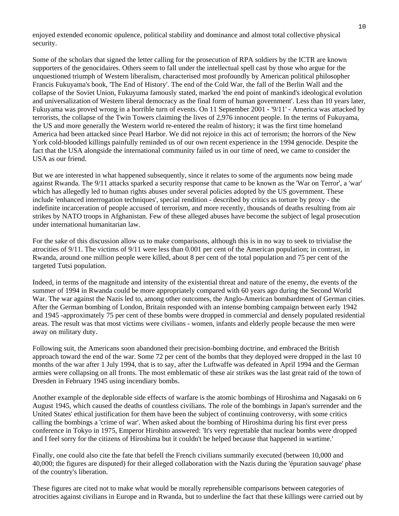enjoyed extended economic opulence, political stability and dominance and almost total collective physical security.

Some of the scholars that signed the letter calling for the prosecution of RPA soldiers by the ICTR are known supporters of the genocidaires. Others seem to fall under the intellectual spell cast by those who argue for the unquestioned triumph of Western liberalism, characterised most profoundly by American political philosopher Francis Fukuyama's book, 'The End of History'. The end of the Cold War, the fall of the Berlin Wall and the collapse of the Soviet Union, Fukuyuma famously stated, marked 'the end point of mankind's ideological evolution and universalization of Western liberal democracy as the final form of human government'. Less than 10 years later, Fukuyama was proved wrong in a horrible turn of events. On 11 September 2001 - '9/11' - America was attacked by terrorists, the collapse of the Twin Towers claiming the lives of 2,976 innocent people. In the terms of Fukuyama, the US and more generally the Western world re-entered the realm of history; it was the first time homeland America had been attacked since Pearl Harbor. We did not rejoice in this act of terrorism; the horrors of the New York cold-blooded killings painfully reminded us of our own recent experience in the 1994 genocide. Despite the fact that the USA alongside the international community failed us in our time of need, we came to consider the USA as our friend.

But we are interested in what happened subsequently, since it relates to some of the arguments now being made against Rwanda. The 9/11 attacks sparked a security response that came to be known as the 'War on Terror', a 'war' which has allegedly led to human rights abuses under several policies adopted by the US government. These include 'enhanced interrogation techniques', special rendition - described by critics as torture by proxy - the indefinite incarceration of people accused of terrorism, and more recently, thousands of deaths resulting from air strikes by NATO troops in Afghanistan. Few of these alleged abuses have become the subject of legal prosecution under international humanitarian law.

For the sake of this discussion allow us to make comparisons, although this is in no way to seek to trivialise the atrocities of 9/11. The victims of 9/11 were less than 0.001 per cent of the American population; in contrast, in Rwanda, around one million people were killed, about 8 per cent of the total population and 75 per cent of the targeted Tutsi population.

Indeed, in terms of the magnitude and intensity of the existential threat and nature of the enemy, the events of the summer of 1994 in Rwanda could be more appropriately compared with 60 years ago during the Second World War. The war against the Nazis led to, among other outcomes, the Anglo-American bombardment of German cities. After the German bombing of London, Britain responded with an intense bombing campaign between early 1942 and 1945 -approximately 75 per cent of these bombs were dropped in commercial and densely populated residential areas. The result was that most victims were civilians - women, infants and elderly people because the men were away on military duty.

Following suit, the Americans soon abandoned their precision-bombing doctrine, and embraced the British approach toward the end of the war. Some 72 per cent of the bombs that they deployed were dropped in the last 10 months of the war after 1 July 1994, that is to say, after the Luftwaffe was defeated in April 1994 and the German armies were collapsing on all fronts. The most emblematic of these air strikes was the last great raid of the town of Dresden in February 1945 using incendiary bombs.

Another example of the deplorable side effects of warfare is the atomic bombings of Hiroshima and Nagasaki on 6 August 1945, which caused the deaths of countless civilians. The role of the bombings in Japan's surrender and the United States' ethical justification for them have been the subject of continuing controversy, with some critics calling the bombings a 'crime of war'. When asked about the bombing of Hiroshima during his first ever press conference in Tokyo in 1975, Emperor Hirohito answered: 'It's very regrettable that nuclear bombs were dropped and I feel sorry for the citizens of Hiroshima but it couldn't be helped because that happened in wartime.'

Finally, one could also cite the fate that befell the French civilians summarily executed (between 10,000 and 40,000; the figures are disputed) for their alleged collaboration with the Nazis during the 'épuration sauvage' phase of the country's liberation.

These figures are cited not to make what would be morally reprehensible comparisons between categories of atrocities against civilians in Europe and in Rwanda, but to underline the fact that these killings were carried out by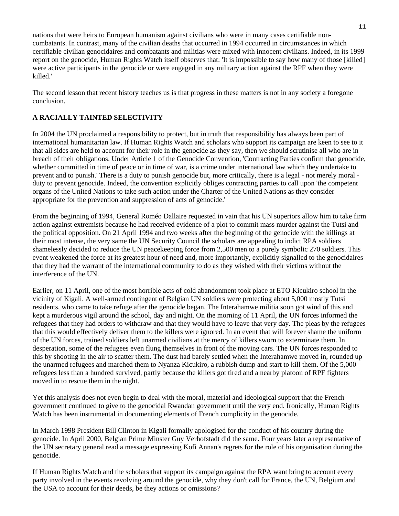nations that were heirs to European humanism against civilians who were in many cases certifiable noncombatants. In contrast, many of the civilian deaths that occurred in 1994 occurred in circumstances in which certifiable civilian genocidaires and combatants and militias were mixed with innocent civilians. Indeed, in its 1999 report on the genocide, Human Rights Watch itself observes that: 'It is impossible to say how many of those [killed] were active participants in the genocide or were engaged in any military action against the RPF when they were killed.'

The second lesson that recent history teaches us is that progress in these matters is not in any society a foregone conclusion.

# **A RACIALLY TAINTED SELECTIVITY**

In 2004 the UN proclaimed a responsibility to protect, but in truth that responsibility has always been part of international humanitarian law. If Human Rights Watch and scholars who support its campaign are keen to see to it that all sides are held to account for their role in the genocide as they say, then we should scrutinise all who are in breach of their obligations. Under Article 1 of the Genocide Convention, 'Contracting Parties confirm that genocide, whether committed in time of peace or in time of war, is a crime under international law which they undertake to prevent and to punish.' There is a duty to punish genocide but, more critically, there is a legal - not merely moral duty to prevent genocide. Indeed, the convention explicitly obliges contracting parties to call upon 'the competent organs of the United Nations to take such action under the Charter of the United Nations as they consider appropriate for the prevention and suppression of acts of genocide.'

From the beginning of 1994, General Roméo Dallaire requested in vain that his UN superiors allow him to take firm action against extremists because he had received evidence of a plot to commit mass murder against the Tutsi and the political opposition. On 21 April 1994 and two weeks after the beginning of the genocide with the killings at their most intense, the very same the UN Security Council the scholars are appealing to indict RPA soldiers shamelessly decided to reduce the UN peacekeeping force from 2,500 men to a purely symbolic 270 soldiers. This event weakened the force at its greatest hour of need and, more importantly, explicitly signalled to the genocidaires that they had the warrant of the international community to do as they wished with their victims without the interference of the UN.

Earlier, on 11 April, one of the most horrible acts of cold abandonment took place at ETO Kicukiro school in the vicinity of Kigali. A well-armed contingent of Belgian UN soldiers were protecting about 5,000 mostly Tutsi residents, who came to take refuge after the genocide began. The Interahamwe militia soon got wind of this and kept a murderous vigil around the school, day and night. On the morning of 11 April, the UN forces informed the refugees that they had orders to withdraw and that they would have to leave that very day. The pleas by the refugees that this would effectively deliver them to the killers were ignored. In an event that will forever shame the uniform of the UN forces, trained soldiers left unarmed civilians at the mercy of killers sworn to exterminate them. In desperation, some of the refugees even flung themselves in front of the moving cars. The UN forces responded to this by shooting in the air to scatter them. The dust had barely settled when the Interahamwe moved in, rounded up the unarmed refugees and marched them to Nyanza Kicukiro, a rubbish dump and start to kill them. Of the 5,000 refugees less than a hundred survived, partly because the killers got tired and a nearby platoon of RPF fighters moved in to rescue them in the night.

Yet this analysis does not even begin to deal with the moral, material and ideological support that the French government continued to give to the genocidal Rwandan government until the very end. Ironically, Human Rights Watch has been instrumental in documenting elements of French complicity in the genocide.

In March 1998 President Bill Clinton in Kigali formally apologised for the conduct of his country during the genocide. In April 2000, Belgian Prime Minster Guy Verhofstadt did the same. Four years later a representative of the UN secretary general read a message expressing Kofi Annan's regrets for the role of his organisation during the genocide.

If Human Rights Watch and the scholars that support its campaign against the RPA want bring to account every party involved in the events revolving around the genocide, why they don't call for France, the UN, Belgium and the USA to account for their deeds, be they actions or omissions?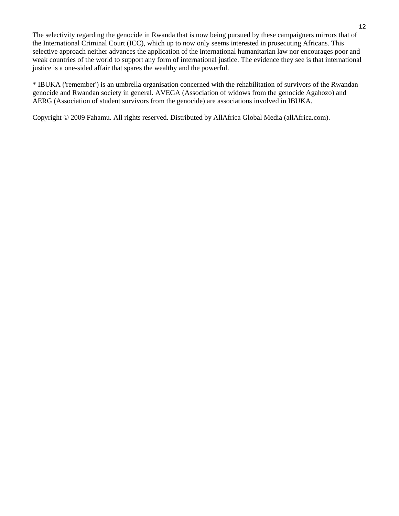The selectivity regarding the genocide in Rwanda that is now being pursued by these campaigners mirrors that of the International Criminal Court (ICC), which up to now only seems interested in prosecuting Africans. This selective approach neither advances the application of the international humanitarian law nor encourages poor and weak countries of the world to support any form of international justice. The evidence they see is that international justice is a one-sided affair that spares the wealthy and the powerful.

\* IBUKA ('remember') is an umbrella organisation concerned with the rehabilitation of survivors of the Rwandan genocide and Rwandan society in general. AVEGA (Association of widows from the genocide Agahozo) and AERG (Association of student survivors from the genocide) are associations involved in IBUKA.

Copyright © 2009 Fahamu. All rights reserved. Distributed by AllAfrica Global Media (allAfrica.com).